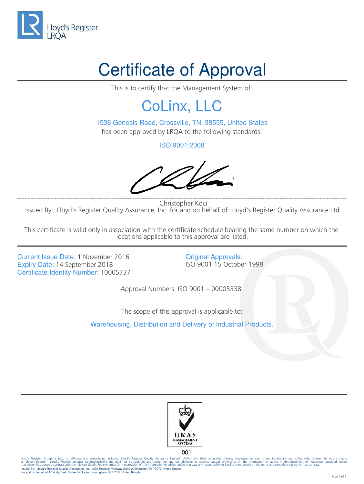

## Certificate of Approval

This is to certify that the Management System of:

## CoLinx, LLC

1536 Genesis Road, Crossville, TN, 38555, United States has been approved by LRQA to the following standards:

ISO 9001:2008

 Christopher Koci Issued By: Lloyd's Register Quality Assurance, Inc for and on behalf of: Lloyd's Register Quality Assurance Ltd

This certificate is valid only in association with the certificate schedule bearing the same number on which the locations applicable to this approval are listed.

Current Issue Date: 1 November 2016<br>
Expiry Date: 14 September 2018<br>
SO 9001 15 October 1998 Expiry Date: 14 September 2018 Certificate Identity Number: 10005737

Approval Numbers: ISO 9001 – 00005338

The scope of this approval is applicable to:

Warehousing, Distribution and Delivery of Industrial Products.



 $001$ 

lloyd's Register Group Limited, its affiliates and subsidiaries, including Lloyd's Register Quality Assurance Limited (IRQA), and shall not be liable to any person for any loss, damage or expense caused by reliance on t